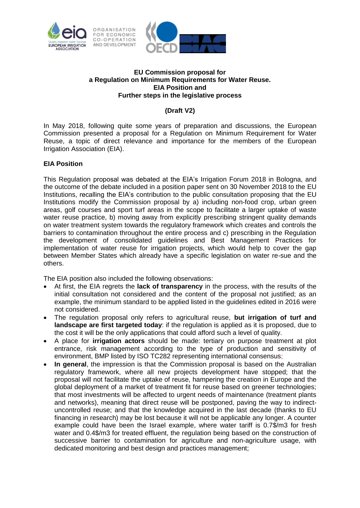

## **EU Commission proposal for a Regulation on Minimum Requirements for Water Reuse. EIA Position and Further steps in the legislative process**

## **(Draft V2)**

In May 2018, following quite some years of preparation and discussions, the European Commission presented a proposal for a Regulation on Minimum Requirement for Water Reuse, a topic of direct relevance and importance for the members of the European Irrigation Association (EIA).

## **EIA Position**

This Regulation proposal was debated at the EIA's Irrigation Forum 2018 in Bologna, and the outcome of the debate included in a position paper sent on 30 November 2018 to the EU Institutions, recalling the EIA's contribution to the public consultation proposing that the EU Institutions modify the Commission proposal by a) including non-food crop, urban green areas, golf courses and sport turf areas in the scope to facilitate a larger uptake of waste water reuse practice, b) moving away from explicitly prescribing stringent quality demands on water treatment system towards the regulatory framework which creates and controls the barriers to contamination throughout the entire process and c) prescribing in the Regulation the development of consolidated guidelines and Best Management Practices for implementation of water reuse for irrigation projects, which would help to cover the gap between Member States which already have a specific legislation on water re-sue and the others.

The EIA position also included the following observations:

- At first, the EIA regrets the **lack of transparency** in the process, with the results of the initial consultation not considered and the content of the proposal not justified; as an example, the minimum standard to be applied listed in the guidelines edited in 2016 were not considered.
- The regulation proposal only refers to agricultural reuse, **but irrigation of turf and landscape are first targeted today**: if the regulation is applied as it is proposed, due to the cost it will be the only applications that could afford such a level of quality.
- A place for **irrigation actors** should be made: tertiary on purpose treatment at plot entrance, risk management according to the type of production and sensitivity of environment, BMP listed by ISO TC282 representing international consensus;
- **In general**, the impression is that the Commission proposal is based on the Australian regulatory framework, where all new projects development have stopped; that the proposal will not facilitate the uptake of reuse, hampering the creation in Europe and the global deployment of a market of treatment fit for reuse based on greener technologies; that most investments will be affected to urgent needs of maintenance (treatment plants and networks), meaning that direct reuse will be postponed, paving the way to indirectuncontrolled reuse; and that the knowledge acquired in the last decade (thanks to EU financing in research) may be lost because it will not be applicable any longer. A counter example could have been the Israel example, where water tariff is 0.7\$/m3 for fresh water and 0.4\$/m3 for treated effluent, the regulation being based on the construction of successive barrier to contamination for agriculture and non-agriculture usage, with dedicated monitoring and best design and practices management;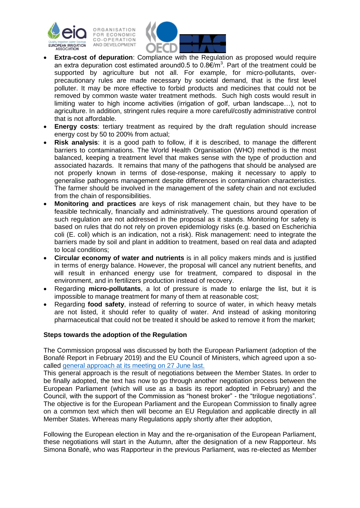



- **Extra-cost of depuration**: Compliance with the Regulation as proposed would require an extra depuration cost estimated around0.5 to 0.8 $\epsilon/m^3$ . Part of the treatment could be supported by agriculture but not all. For example, for micro-pollutants, overprecautionary rules are made necessary by societal demand, that is the first level polluter. It may be more effective to forbid products and medicines that could not be removed by common waste water treatment methods. Such high costs would result in limiting water to high income activities (irrigation of golf, urban landscape…), not to agriculture. In addition, stringent rules require a more careful/costly administrative control that is not affordable.
- **Energy costs**: tertiary treatment as required by the draft regulation should increase energy cost by 50 to 200% from actual;
- **Risk analysis**: it is a good path to follow, if it is described, to manage the different barriers to contaminations. The World Health Organisation (WHO) method is the most balanced, keeping a treatment level that makes sense with the type of production and associated hazards. It remains that many of the pathogens that should be analysed are not properly known in terms of dose-response, making it necessary to apply to generalise pathogens management despite differences in contamination characteristics. The farmer should be involved in the management of the safety chain and not excluded from the chain of responsibilities.
- **Monitoring and practices** are keys of risk management chain, but they have to be feasible technically, financially and administratively. The questions around operation of such regulation are not addressed in the proposal as it stands. Monitoring for safety is based on rules that do not rely on proven epidemiology risks (e.g. based on Escherichia coli (E. coli) which is an indication, not a risk). Risk management: need to integrate the barriers made by soil and plant in addition to treatment, based on real data and adapted to local conditions;
- **Circular economy of water and nutrients** is in all policy makers minds and is justified in terms of energy balance. However, the proposal will cancel any nutrient benefits, and will result in enhanced energy use for treatment, compared to disposal in the environment, and in fertilizers production instead of recovery.
- Regarding **micro-pollutants**, a lot of pressure is made to enlarge the list, but it is impossible to manage treatment for many of them at reasonable cost;
- Regarding **food safety**, instead of referring to source of water, in which heavy metals are not listed, it should refer to quality of water. And instead of asking monitoring pharmaceutical that could not be treated it should be asked to remove it from the market;

## **Steps towards the adoption of the Regulation**

The Commission proposal was discussed by both the European Parliament (adoption of the Bonafé Report in February 2019) and the EU Council of Ministers, which agreed upon a socalled [general approach](https://data.consilium.europa.eu/doc/document/ST-10278-2019-INIT/en/pdf) at its meeting on 27 June last.

This general approach is the result of negotiations between the Member States. In order to be finally adopted, the text has now to go through another negotiation process between the European Parliament (which will use as a basis its report adopted in February) and the Council, with the support of the Commission as "honest broker" - the "trilogue negotiations". The objective is for the European Parliament and the European Commission to finally agree on a common text which then will become an EU Regulation and applicable directly in all Member States. Whereas many Regulations apply shortly after their adoption,

Following the European election in May and the re-organisation of the European Parliament, these negotiations will start in the Autumn, after the designation of a new Rapporteur. Ms Simona Bonafè, who was Rapporteur in the previous Parliament, was re-elected as Member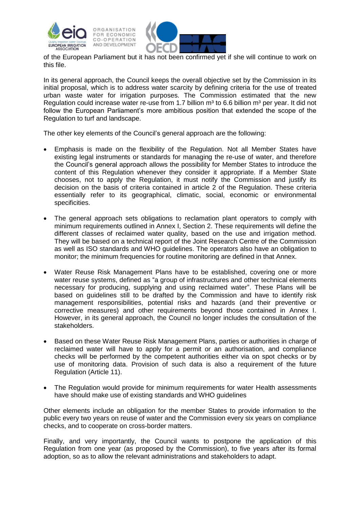

of the European Parliament but it has not been confirmed yet if she will continue to work on this file.

In its general approach, the Council keeps the overall objective set by the Commission in its initial proposal, which is to address water scarcity by defining criteria for the use of treated urban waste water for irrigation purposes. The Commission estimated that the new Regulation could increase water re-use from 1.7 billion  $m<sup>3</sup>$  to 6.6 billion  $m<sup>3</sup>$  per year. It did not follow the European Parliament's more ambitious position that extended the scope of the Regulation to turf and landscape.

The other key elements of the Council's general approach are the following:

- Emphasis is made on the flexibility of the Regulation. Not all Member States have existing legal instruments or standards for managing the re-use of water, and therefore the Council's general approach allows the possibility for Member States to introduce the content of this Regulation whenever they consider it appropriate. If a Member State chooses, not to apply the Regulation, it must notify the Commission and justify its decision on the basis of criteria contained in article 2 of the Regulation. These criteria essentially refer to its geographical, climatic, social, economic or environmental specificities.
- The general approach sets obligations to reclamation plant operators to comply with minimum requirements outlined in Annex I, Section 2. These requirements will define the different classes of reclaimed water quality, based on the use and irrigation method. They will be based on a technical report of the Joint Research Centre of the Commission as well as ISO standards and WHO guidelines. The operators also have an obligation to monitor; the minimum frequencies for routine monitoring are defined in that Annex.
- Water Reuse Risk Management Plans have to be established, covering one or more water reuse systems, defined as "a group of infrastructures and other technical elements necessary for producing, supplying and using reclaimed water". These Plans will be based on guidelines still to be drafted by the Commission and have to identify risk management responsibilities, potential risks and hazards (and their preventive or corrective measures) and other requirements beyond those contained in Annex I. However, in its general approach, the Council no longer includes the consultation of the stakeholders.
- Based on these Water Reuse Risk Management Plans, parties or authorities in charge of reclaimed water will have to apply for a permit or an authorisation, and compliance checks will be performed by the competent authorities either via on spot checks or by use of monitoring data. Provision of such data is also a requirement of the future Regulation (Article 11).
- The Regulation would provide for minimum requirements for water Health assessments have should make use of existing standards and WHO guidelines

Other elements include an obligation for the member States to provide information to the public every two years on reuse of water and the Commission every six years on compliance checks, and to cooperate on cross-border matters.

Finally, and very importantly, the Council wants to postpone the application of this Regulation from one year (as proposed by the Commission), to five years after its formal adoption, so as to allow the relevant administrations and stakeholders to adapt.